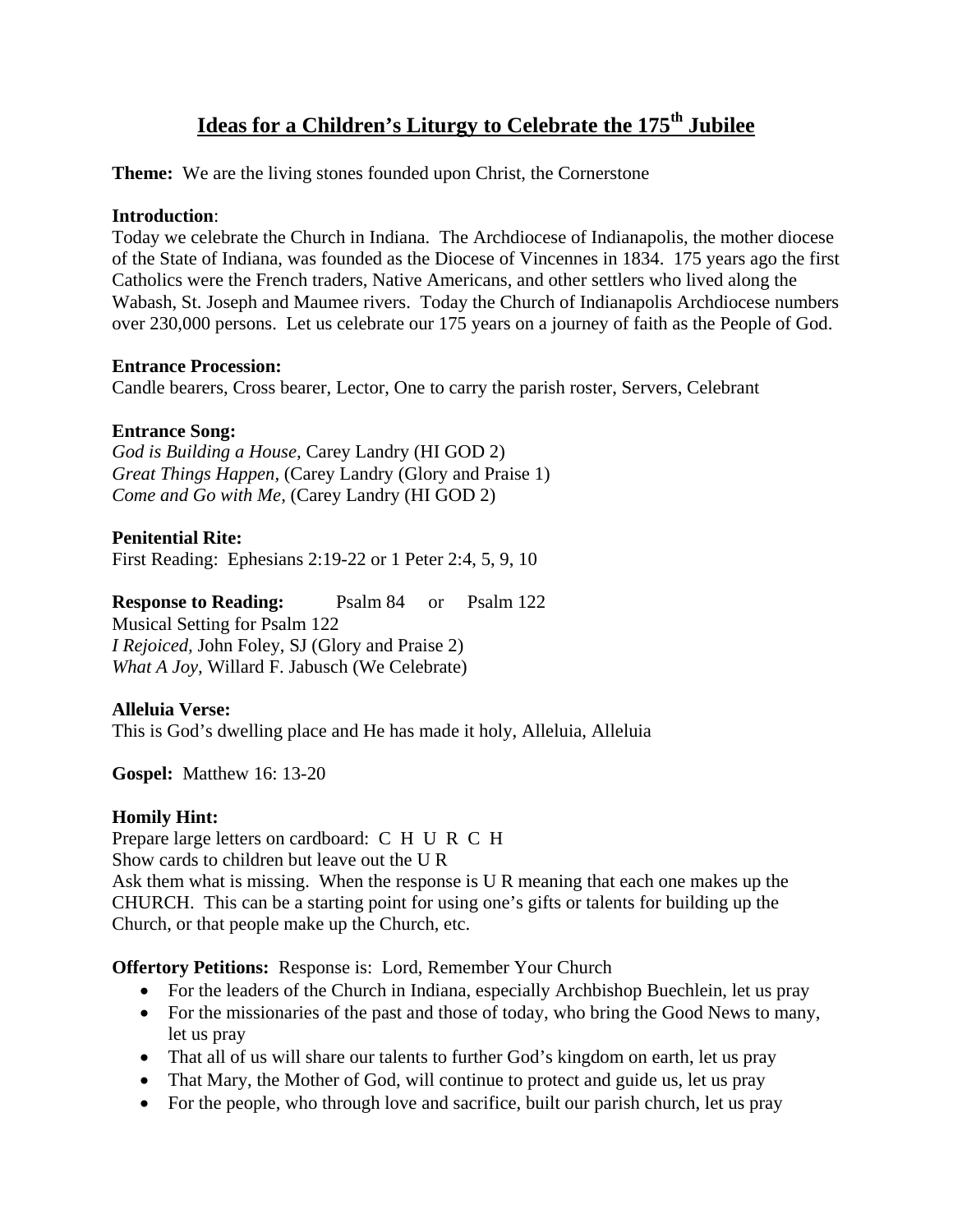# **Ideas for a Children's Liturgy to Celebrate the 175th Jubilee**

**Theme:** We are the living stones founded upon Christ, the Cornerstone

#### **Introduction**:

Today we celebrate the Church in Indiana. The Archdiocese of Indianapolis, the mother diocese of the State of Indiana, was founded as the Diocese of Vincennes in 1834. 175 years ago the first Catholics were the French traders, Native Americans, and other settlers who lived along the Wabash, St. Joseph and Maumee rivers. Today the Church of Indianapolis Archdiocese numbers over 230,000 persons. Let us celebrate our 175 years on a journey of faith as the People of God.

#### **Entrance Procession:**

Candle bearers, Cross bearer, Lector, One to carry the parish roster, Servers, Celebrant

## **Entrance Song:**

*God is Building a House,* Carey Landry (HI GOD 2) *Great Things Happen,* (Carey Landry (Glory and Praise 1) *Come and Go with Me,* (Carey Landry (HI GOD 2)

**Penitential Rite:**  First Reading: Ephesians 2:19-22 or 1 Peter 2:4, 5, 9, 10

**Response to Reading:** Psalm 84 or Psalm 122 Musical Setting for Psalm 122 *I Rejoiced,* John Foley, SJ (Glory and Praise 2) *What A Joy,* Willard F. Jabusch (We Celebrate)

## **Alleluia Verse:**

This is God's dwelling place and He has made it holy, Alleluia, Alleluia

**Gospel:** Matthew 16: 13-20

## **Homily Hint:**

Prepare large letters on cardboard: C H U R C H Show cards to children but leave out the U R

Ask them what is missing. When the response is U R meaning that each one makes up the CHURCH. This can be a starting point for using one's gifts or talents for building up the Church, or that people make up the Church, etc.

**Offertory Petitions:** Response is: Lord, Remember Your Church

- For the leaders of the Church in Indiana, especially Archbishop Buechlein, let us pray
- For the missionaries of the past and those of today, who bring the Good News to many, let us pray
- That all of us will share our talents to further God's kingdom on earth, let us pray
- That Mary, the Mother of God, will continue to protect and guide us, let us pray
- For the people, who through love and sacrifice, built our parish church, let us pray